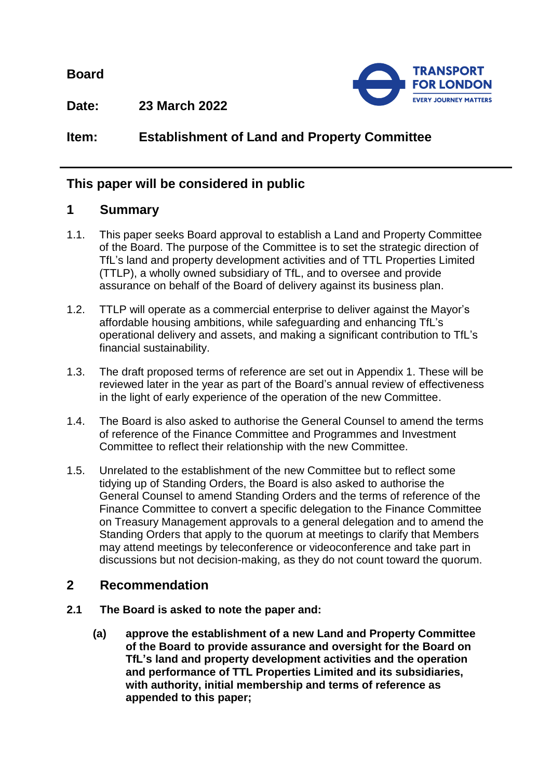**Board**



**Date: 23 March 2022**

**Item: Establishment of Land and Property Committee**

# **This paper will be considered in public**

### **1 Summary**

- 1.1. This paper seeks Board approval to establish a Land and Property Committee of the Board. The purpose of the Committee is to set the strategic direction of TfL's land and property development activities and of TTL Properties Limited (TTLP), a wholly owned subsidiary of TfL, and to oversee and provide assurance on behalf of the Board of delivery against its business plan.
- 1.2. TTLP will operate as a commercial enterprise to deliver against the Mayor's affordable housing ambitions, while safeguarding and enhancing TfL's operational delivery and assets, and making a significant contribution to TfL's financial sustainability.
- 1.3. The draft proposed terms of reference are set out in Appendix 1. These will be reviewed later in the year as part of the Board's annual review of effectiveness in the light of early experience of the operation of the new Committee.
- 1.4. The Board is also asked to authorise the General Counsel to amend the terms of reference of the Finance Committee and Programmes and Investment Committee to reflect their relationship with the new Committee.
- 1.5. Unrelated to the establishment of the new Committee but to reflect some tidying up of Standing Orders, the Board is also asked to authorise the General Counsel to amend Standing Orders and the terms of reference of the Finance Committee to convert a specific delegation to the Finance Committee on Treasury Management approvals to a general delegation and to amend the Standing Orders that apply to the quorum at meetings to clarify that Members may attend meetings by teleconference or videoconference and take part in discussions but not decision-making, as they do not count toward the quorum.

#### **2 Recommendation**

- **2.1 The Board is asked to note the paper and:**
	- **(a) approve the establishment of a new Land and Property Committee of the Board to provide assurance and oversight for the Board on TfL's land and property development activities and the operation and performance of TTL Properties Limited and its subsidiaries, with authority, initial membership and terms of reference as appended to this paper;**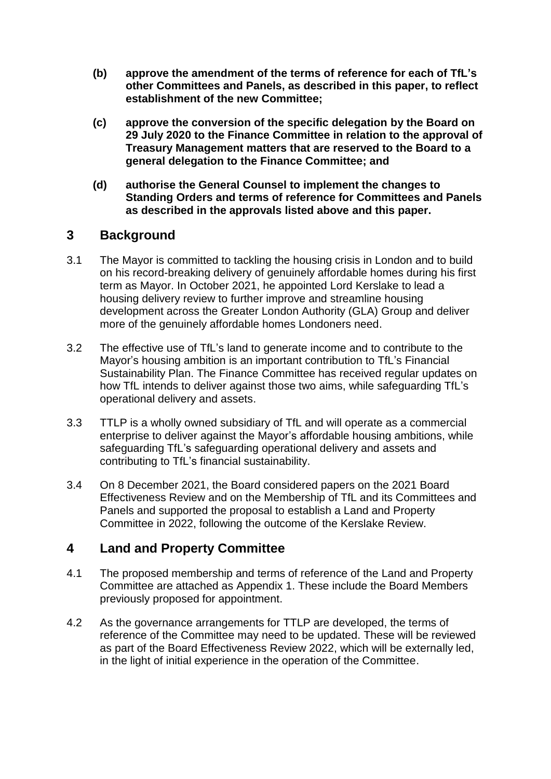- **(b) approve the amendment of the terms of reference for each of TfL's other Committees and Panels, as described in this paper, to reflect establishment of the new Committee;**
- **(c) approve the conversion of the specific delegation by the Board on 29 July 2020 to the Finance Committee in relation to the approval of Treasury Management matters that are reserved to the Board to a general delegation to the Finance Committee; and**
- **(d) authorise the General Counsel to implement the changes to Standing Orders and terms of reference for Committees and Panels as described in the approvals listed above and this paper.**

### **3 Background**

- 3.1 The Mayor is committed to tackling the housing crisis in London and to build on his record-breaking delivery of genuinely affordable homes during his first term as Mayor. In October 2021, he appointed Lord Kerslake to lead a housing delivery review to further improve and streamline housing development across the Greater London Authority (GLA) Group and deliver more of the genuinely affordable homes Londoners need.
- 3.2 The effective use of TfL's land to generate income and to contribute to the Mayor's housing ambition is an important contribution to TfL's Financial Sustainability Plan. The Finance Committee has received regular updates on how TfL intends to deliver against those two aims, while safeguarding TfL's operational delivery and assets.
- 3.3 TTLP is a wholly owned subsidiary of TfL and will operate as a commercial enterprise to deliver against the Mayor's affordable housing ambitions, while safeguarding TfL's safeguarding operational delivery and assets and contributing to TfL's financial sustainability.
- 3.4 On 8 December 2021, the Board considered papers on the 2021 Board Effectiveness Review and on the Membership of TfL and its Committees and Panels and supported the proposal to establish a Land and Property Committee in 2022, following the outcome of the Kerslake Review.

## **4 Land and Property Committee**

- 4.1 The proposed membership and terms of reference of the Land and Property Committee are attached as Appendix 1. These include the Board Members previously proposed for appointment.
- 4.2 As the governance arrangements for TTLP are developed, the terms of reference of the Committee may need to be updated. These will be reviewed as part of the Board Effectiveness Review 2022, which will be externally led, in the light of initial experience in the operation of the Committee.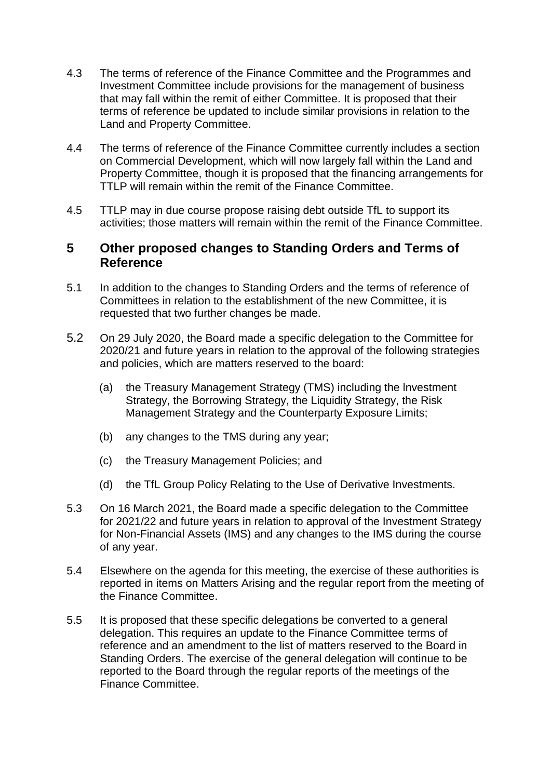- 4.3 The terms of reference of the Finance Committee and the Programmes and Investment Committee include provisions for the management of business that may fall within the remit of either Committee. It is proposed that their terms of reference be updated to include similar provisions in relation to the Land and Property Committee.
- 4.4 The terms of reference of the Finance Committee currently includes a section on Commercial Development, which will now largely fall within the Land and Property Committee, though it is proposed that the financing arrangements for TTLP will remain within the remit of the Finance Committee.
- 4.5 TTLP may in due course propose raising debt outside TfL to support its activities; those matters will remain within the remit of the Finance Committee.

#### **5 Other proposed changes to Standing Orders and Terms of Reference**

- 5.1 In addition to the changes to Standing Orders and the terms of reference of Committees in relation to the establishment of the new Committee, it is requested that two further changes be made.
- 5.2 On 29 July 2020, the Board made a specific delegation to the Committee for 2020/21 and future years in relation to the approval of the following strategies and policies, which are matters reserved to the board:
	- (a) the Treasury Management Strategy (TMS) including the lnvestment Strategy, the Borrowing Strategy, the Liquidity Strategy, the Risk Management Strategy and the Counterparty Exposure Limits;
	- (b) any changes to the TMS during any year;
	- (c) the Treasury Management Policies; and
	- (d) the TfL Group Policy Relating to the Use of Derivative Investments.
- 5.3 On 16 March 2021, the Board made a specific delegation to the Committee for 2021/22 and future years in relation to approval of the Investment Strategy for Non-Financial Assets (IMS) and any changes to the IMS during the course of any year.
- 5.4 Elsewhere on the agenda for this meeting, the exercise of these authorities is reported in items on Matters Arising and the regular report from the meeting of the Finance Committee.
- 5.5 It is proposed that these specific delegations be converted to a general delegation. This requires an update to the Finance Committee terms of reference and an amendment to the list of matters reserved to the Board in Standing Orders. The exercise of the general delegation will continue to be reported to the Board through the regular reports of the meetings of the Finance Committee.